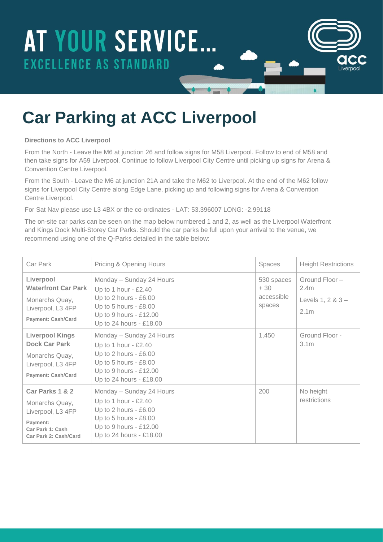# AT YOUR SERVICE... **EXCELLENCE AS STANDARD**

### **Car Parking at ACC Liverpool**

#### **Directions to ACC Liverpool**

From the North - Leave the M6 at junction 26 and follow signs for M58 Liverpool. Follow to end of M58 and then take signs for A59 Liverpool. Continue to follow Liverpool City Centre until picking up signs for Arena & Convention Centre Liverpool.

From the South - Leave the M6 at junction 21A and take the M62 to Liverpool. At the end of the M62 follow signs for Liverpool City Centre along Edge Lane, picking up and following signs for Arena & Convention Centre Liverpool.

For Sat Nav please use L3 4BX or the co-ordinates - LAT: 53.396007 LONG: -2.99118

The on-site car parks can be seen on the map below numbered 1 and 2, as well as the Liverpool Waterfront and Kings Dock Multi-Storey Car Parks. Should the car parks be full upon your arrival to the venue, we recommend using one of the Q-Parks detailed in the table below:

| Car Park                                                                                                           | Pricing & Opening Hours                                                                                                                                   | Spaces                                      | <b>Height Restrictions</b>                                       |
|--------------------------------------------------------------------------------------------------------------------|-----------------------------------------------------------------------------------------------------------------------------------------------------------|---------------------------------------------|------------------------------------------------------------------|
| Liverpool<br><b>Waterfront Car Park</b><br>Monarchs Quay,<br>Liverpool, L3 4FP<br><b>Payment: Cash/Card</b>        | Monday - Sunday 24 Hours<br>Up to 1 hour - $£2.40$<br>Up to 2 hours - £6.00<br>Up to 5 hours - £8.00<br>Up to 9 hours - £12.00<br>Up to 24 hours - £18.00 | 530 spaces<br>$+30$<br>accessible<br>spaces | Ground Floor-<br>2.4m<br>Levels $1, 2 & 3 -$<br>2.1 <sub>m</sub> |
| <b>Liverpool Kings</b><br><b>Dock Car Park</b><br>Monarchs Quay,<br>Liverpool, L3 4FP<br><b>Payment: Cash/Card</b> | Monday - Sunday 24 Hours<br>Up to 1 hour - £2.40<br>Up to 2 hours - £6.00<br>Up to 5 hours - £8.00<br>Up to 9 hours - £12.00<br>Up to 24 hours - £18.00   | 1,450                                       | Ground Floor -<br>3.1 <sub>m</sub>                               |
| Car Parks 1 & 2<br>Monarchs Quay,<br>Liverpool, L3 4FP<br>Payment:<br>Car Park 1: Cash<br>Car Park 2: Cash/Card    | Monday - Sunday 24 Hours<br>Up to 1 hour $-$ £2.40<br>Up to 2 hours - £6.00<br>Up to 5 hours - £8.00<br>Up to 9 hours - £12.00<br>Up to 24 hours - £18.00 | 200                                         | No height<br>restrictions                                        |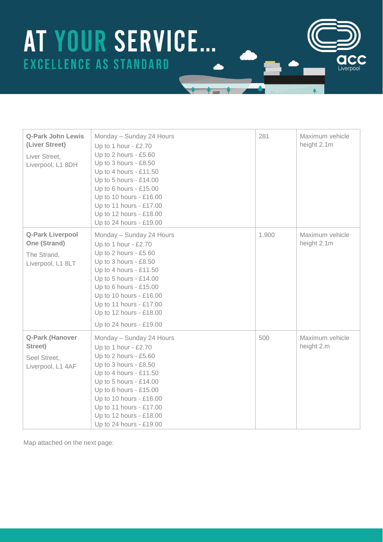# AT YOUR SERVICE... **EXCELLENCE AS STANDARD**

| <b>Q-Park John Lewis</b><br>(Liver Street)<br>Liver Street,<br>Liverpool, L1 8DH | Monday - Sunday 24 Hours<br>Up to 1 hour - £2.70<br>Up to 2 hours - £5.60<br>Up to 3 hours - £8.50<br>Up to 4 hours - £11.50<br>Up to 5 hours - £14.00<br>Up to 6 hours - £15.00<br>Up to 10 hours - £16.00<br>Up to 11 hours - £17.00<br>Up to 12 hours - £18.00<br>Up to 24 hours - £19.00   | 281   | Maximum vehicle<br>height 2.1m |
|----------------------------------------------------------------------------------|------------------------------------------------------------------------------------------------------------------------------------------------------------------------------------------------------------------------------------------------------------------------------------------------|-------|--------------------------------|
| Q-Park Liverpool<br>One (Strand)<br>The Strand,<br>Liverpool, L1 8LT             | Monday - Sunday 24 Hours<br>Up to 1 hour - $£2.70$<br>Up to 2 hours - £5.60<br>Up to 3 hours - £8.50<br>Up to 4 hours - £11.50<br>Up to 5 hours - £14.00<br>Up to 6 hours - £15.00<br>Up to 10 hours - £16.00<br>Up to 11 hours - £17.00<br>Up to 12 hours - £18.00<br>Up to 24 hours - £19.00 | 1.900 | Maximum vehicle<br>height 2.1m |
| Q-Park (Hanover<br>Street)<br>Seel Street,<br>Liverpool, L1 4AF                  | Monday - Sunday 24 Hours<br>Up to 1 hour - £2.70<br>Up to 2 hours - £5.60<br>Up to 3 hours - £8.50<br>Up to 4 hours - £11.50<br>Up to 5 hours - £14.00<br>Up to 6 hours - £15.00<br>Up to 10 hours - £16.00<br>Up to 11 hours - £17.00<br>Up to 12 hours - £18.00<br>Up to 24 hours - £19.00   | 500   | Maximum vehicle<br>height 2.m  |

I iverno

Map attached on the next page: